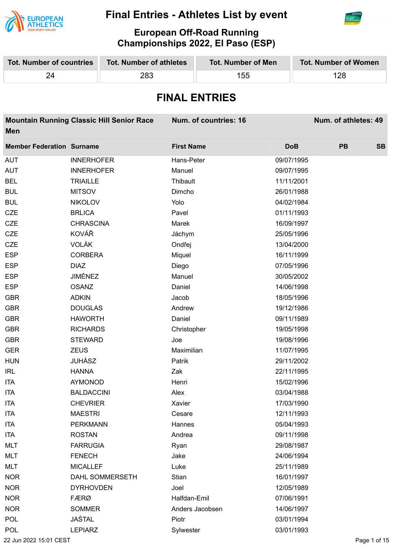



**European Off-Road Running Championships 2022, El Paso (ESP)**

| <b>Tot. Number of countries</b><br><b>Tot. Number of athletes</b><br><b>Tot. Number of Men</b> |                      |                        |                   | <b>Tot. Number of Women</b> |            |     |                      |           |  |
|------------------------------------------------------------------------------------------------|----------------------|------------------------|-------------------|-----------------------------|------------|-----|----------------------|-----------|--|
| 24                                                                                             |                      | 283                    |                   | 155                         |            | 128 |                      |           |  |
|                                                                                                | <b>FINAL ENTRIES</b> |                        |                   |                             |            |     |                      |           |  |
| <b>Mountain Running Classic Hill Senior Race</b><br>Men                                        |                      |                        |                   | Num. of countries: 16       |            |     | Num. of athletes: 49 |           |  |
| <b>Member Federation Surname</b>                                                               |                      |                        | <b>First Name</b> |                             | <b>DoB</b> |     | <b>PB</b>            | <b>SB</b> |  |
| AUT                                                                                            | <b>INNERHOFER</b>    |                        | Hans-Peter        |                             | 09/07/1995 |     |                      |           |  |
| AUT                                                                                            | <b>INNERHOFER</b>    |                        | Manuel            |                             | 09/07/1995 |     |                      |           |  |
| <b>BEL</b>                                                                                     | <b>TRIAILLE</b>      |                        | Thibault          |                             | 11/11/2001 |     |                      |           |  |
| <b>BUL</b>                                                                                     | <b>MITSOV</b>        |                        | Dimcho            |                             | 26/01/1988 |     |                      |           |  |
| <b>BUL</b>                                                                                     | <b>NIKOLOV</b>       |                        | Yolo              |                             | 04/02/1984 |     |                      |           |  |
| CZE                                                                                            | <b>BRLICA</b>        |                        | Pavel             |                             | 01/11/1993 |     |                      |           |  |
| <b>CZE</b>                                                                                     | <b>CHRASCINA</b>     |                        | Marek             |                             | 16/09/1997 |     |                      |           |  |
| <b>CZE</b>                                                                                     | KOVÁŘ                |                        | Jáchym            |                             | 25/05/1996 |     |                      |           |  |
| <b>CZE</b>                                                                                     | <b>VOLÁK</b>         |                        | Ondřej            |                             | 13/04/2000 |     |                      |           |  |
| <b>ESP</b>                                                                                     | <b>CORBERA</b>       |                        | Miquel            |                             | 16/11/1999 |     |                      |           |  |
| <b>ESP</b>                                                                                     | <b>DIAZ</b>          |                        | Diego             |                             | 07/05/1996 |     |                      |           |  |
| <b>ESP</b>                                                                                     | JIMÉNEZ              |                        | Manuel            |                             | 30/05/2002 |     |                      |           |  |
| <b>ESP</b>                                                                                     | <b>OSANZ</b>         |                        | Daniel            |                             | 14/06/1998 |     |                      |           |  |
| <b>GBR</b>                                                                                     | <b>ADKIN</b>         |                        | Jacob             |                             | 18/05/1996 |     |                      |           |  |
| <b>GBR</b>                                                                                     | <b>DOUGLAS</b>       |                        | Andrew            |                             | 19/12/1986 |     |                      |           |  |
| <b>GBR</b>                                                                                     | <b>HAWORTH</b>       |                        | Daniel            |                             | 09/11/1989 |     |                      |           |  |
| <b>GBR</b>                                                                                     | <b>RICHARDS</b>      |                        | Christopher       |                             | 19/05/1998 |     |                      |           |  |
| <b>GBR</b>                                                                                     | <b>STEWARD</b>       |                        | Joe               |                             | 19/08/1996 |     |                      |           |  |
| GER                                                                                            | <b>ZEUS</b>          |                        | Maximilian        |                             | 11/07/1995 |     |                      |           |  |
| <b>HUN</b>                                                                                     | <b>JUHÁSZ</b>        |                        | Patrik            |                             | 29/11/2002 |     |                      |           |  |
| <b>IRL</b>                                                                                     | <b>HANNA</b>         |                        | Zak               |                             | 22/11/1995 |     |                      |           |  |
| <b>ITA</b>                                                                                     | <b>AYMONOD</b>       |                        | Henri             |                             | 15/02/1996 |     |                      |           |  |
| <b>ITA</b>                                                                                     | <b>BALDACCINI</b>    |                        | Alex              |                             | 03/04/1988 |     |                      |           |  |
| <b>ITA</b>                                                                                     | <b>CHEVRIER</b>      |                        | Xavier            |                             | 17/03/1990 |     |                      |           |  |
| <b>ITA</b>                                                                                     | <b>MAESTRI</b>       |                        | Cesare            |                             | 12/11/1993 |     |                      |           |  |
| <b>ITA</b>                                                                                     | <b>PERKMANN</b>      |                        | Hannes            |                             | 05/04/1993 |     |                      |           |  |
| <b>ITA</b>                                                                                     | <b>ROSTAN</b>        |                        | Andrea            |                             | 09/11/1998 |     |                      |           |  |
| MLT                                                                                            | <b>FARRUGIA</b>      |                        | Ryan              |                             | 29/08/1987 |     |                      |           |  |
| MLT                                                                                            | <b>FENECH</b>        |                        | Jake              |                             | 24/06/1994 |     |                      |           |  |
| MLT                                                                                            | <b>MICALLEF</b>      |                        | Luke              |                             | 25/11/1989 |     |                      |           |  |
| <b>NOR</b>                                                                                     |                      | <b>DAHL SOMMERSETH</b> | Stian             |                             | 16/01/1997 |     |                      |           |  |
| <b>NOR</b>                                                                                     | <b>DYRHOVDEN</b>     |                        | Joel              |                             | 12/05/1989 |     |                      |           |  |
| <b>NOR</b>                                                                                     | FÆRØ                 |                        | Halfdan-Emil      |                             | 07/06/1991 |     |                      |           |  |
| <b>NOR</b>                                                                                     | <b>SOMMER</b>        |                        |                   | Anders Jacobsen             | 14/06/1997 |     |                      |           |  |
| <b>POL</b>                                                                                     | JAŚTAL               |                        | Piotr             |                             | 03/01/1994 |     |                      |           |  |
| POL                                                                                            | <b>LEPIARZ</b>       |                        | Sylwester         |                             | 03/01/1993 |     |                      |           |  |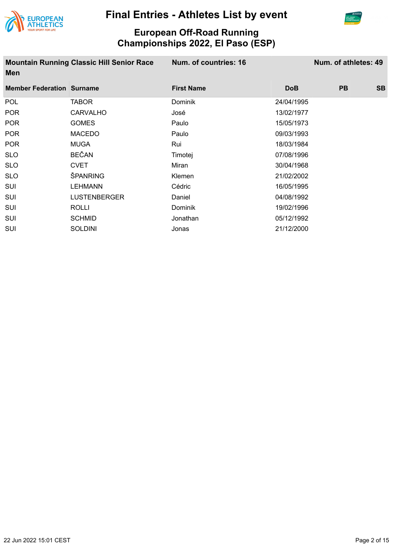



| <b>Mountain Running Classic Hill Senior Race</b><br>Men |                     | Num. of countries: 16 |            | Num. of athletes: 49 |           |
|---------------------------------------------------------|---------------------|-----------------------|------------|----------------------|-----------|
| <b>Member Federation Surname</b>                        |                     | <b>First Name</b>     | <b>DoB</b> | <b>PB</b>            | <b>SB</b> |
| POL                                                     | TABOR               | <b>Dominik</b>        | 24/04/1995 |                      |           |
| <b>POR</b>                                              | <b>CARVALHO</b>     | José                  | 13/02/1977 |                      |           |
| <b>POR</b>                                              | <b>GOMES</b>        | Paulo                 | 15/05/1973 |                      |           |
| <b>POR</b>                                              | <b>MACEDO</b>       | Paulo                 | 09/03/1993 |                      |           |
| <b>POR</b>                                              | <b>MUGA</b>         | Rui                   | 18/03/1984 |                      |           |
| <b>SLO</b>                                              | <b>BEČAN</b>        | Timotej               | 07/08/1996 |                      |           |
| <b>SLO</b>                                              | <b>CVET</b>         | Miran                 | 30/04/1968 |                      |           |
| <b>SLO</b>                                              | ŠPANRING            | Klemen                | 21/02/2002 |                      |           |
| SUI                                                     | <b>LEHMANN</b>      | Cédric                | 16/05/1995 |                      |           |
| <b>SUI</b>                                              | <b>LUSTENBERGER</b> | Daniel                | 04/08/1992 |                      |           |
| <b>SUI</b>                                              | <b>ROLLI</b>        | <b>Dominik</b>        | 19/02/1996 |                      |           |
| <b>SUI</b>                                              | <b>SCHMID</b>       | Jonathan              | 05/12/1992 |                      |           |
| <b>SUI</b>                                              | <b>SOLDINI</b>      | Jonas                 | 21/12/2000 |                      |           |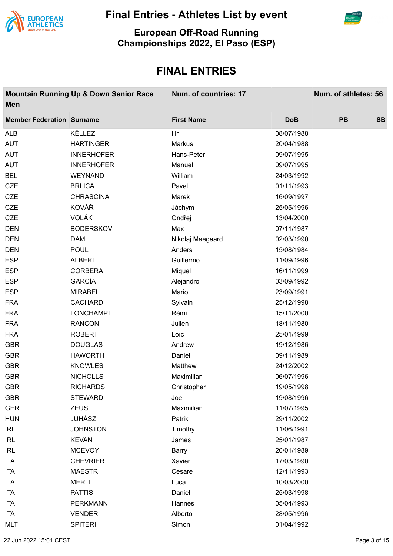



**European Off-Road Running Championships 2022, El Paso (ESP)**

| <b>Men</b>                       | <b>Mountain Running Up &amp; Down Senior Race</b> | Num. of countries: 17 |            | Num. of athletes: 56 |           |
|----------------------------------|---------------------------------------------------|-----------------------|------------|----------------------|-----------|
| <b>Member Federation Surname</b> |                                                   | <b>First Name</b>     | <b>DoB</b> | <b>PB</b>            | <b>SB</b> |
| <b>ALB</b>                       | KËLLEZI                                           | Ilir                  | 08/07/1988 |                      |           |
| <b>AUT</b>                       | <b>HARTINGER</b>                                  | Markus                | 20/04/1988 |                      |           |
| <b>AUT</b>                       | <b>INNERHOFER</b>                                 | Hans-Peter            | 09/07/1995 |                      |           |
| <b>AUT</b>                       | <b>INNERHOFER</b>                                 | Manuel                | 09/07/1995 |                      |           |
| <b>BEL</b>                       | <b>WEYNAND</b>                                    | William               | 24/03/1992 |                      |           |
| <b>CZE</b>                       | <b>BRLICA</b>                                     | Pavel                 | 01/11/1993 |                      |           |
| <b>CZE</b>                       | <b>CHRASCINA</b>                                  | Marek                 | 16/09/1997 |                      |           |
| <b>CZE</b>                       | KOVÁŘ                                             | Jáchym                | 25/05/1996 |                      |           |
| <b>CZE</b>                       | <b>VOLÁK</b>                                      | Ondřej                | 13/04/2000 |                      |           |
| <b>DEN</b>                       | <b>BODERSKOV</b>                                  | Max                   | 07/11/1987 |                      |           |
| <b>DEN</b>                       | <b>DAM</b>                                        | Nikolaj Maegaard      | 02/03/1990 |                      |           |
| <b>DEN</b>                       | <b>POUL</b>                                       | Anders                | 15/08/1984 |                      |           |
| <b>ESP</b>                       | <b>ALBERT</b>                                     | Guillermo             | 11/09/1996 |                      |           |
| <b>ESP</b>                       | <b>CORBERA</b>                                    | Miquel                | 16/11/1999 |                      |           |
| <b>ESP</b>                       | <b>GARCÍA</b>                                     | Alejandro             | 03/09/1992 |                      |           |
| <b>ESP</b>                       | <b>MIRABEL</b>                                    | Mario                 | 23/09/1991 |                      |           |
| <b>FRA</b>                       | <b>CACHARD</b>                                    | Sylvain               | 25/12/1998 |                      |           |
| <b>FRA</b>                       | <b>LONCHAMPT</b>                                  | Rémi                  | 15/11/2000 |                      |           |
| <b>FRA</b>                       | <b>RANCON</b>                                     | Julien                | 18/11/1980 |                      |           |
| <b>FRA</b>                       | <b>ROBERT</b>                                     | Loïc                  | 25/01/1999 |                      |           |
| <b>GBR</b>                       | <b>DOUGLAS</b>                                    | Andrew                | 19/12/1986 |                      |           |
| <b>GBR</b>                       | <b>HAWORTH</b>                                    | Daniel                | 09/11/1989 |                      |           |
| <b>GBR</b>                       | <b>KNOWLES</b>                                    | Matthew               | 24/12/2002 |                      |           |
| <b>GBR</b>                       | <b>NICHOLLS</b>                                   | Maximilian            | 06/07/1996 |                      |           |
| <b>GBR</b>                       | <b>RICHARDS</b>                                   | Christopher           | 19/05/1998 |                      |           |
| <b>GBR</b>                       | <b>STEWARD</b>                                    | Joe                   | 19/08/1996 |                      |           |
| <b>GER</b>                       | <b>ZEUS</b>                                       | Maximilian            | 11/07/1995 |                      |           |
| <b>HUN</b>                       | <b>JUHÁSZ</b>                                     | Patrik                | 29/11/2002 |                      |           |
| <b>IRL</b>                       | <b>JOHNSTON</b>                                   | Timothy               | 11/06/1991 |                      |           |
| <b>IRL</b>                       | <b>KEVAN</b>                                      | James                 | 25/01/1987 |                      |           |
| <b>IRL</b>                       | <b>MCEVOY</b>                                     | Barry                 | 20/01/1989 |                      |           |
| <b>ITA</b>                       | <b>CHEVRIER</b>                                   | Xavier                | 17/03/1990 |                      |           |
| <b>ITA</b>                       | <b>MAESTRI</b>                                    | Cesare                | 12/11/1993 |                      |           |
| ITA                              | <b>MERLI</b>                                      | Luca                  | 10/03/2000 |                      |           |
| <b>ITA</b>                       | <b>PATTIS</b>                                     | Daniel                | 25/03/1998 |                      |           |
| <b>ITA</b>                       | <b>PERKMANN</b>                                   | Hannes                | 05/04/1993 |                      |           |
| ITA                              | <b>VENDER</b>                                     | Alberto               | 28/05/1996 |                      |           |
| <b>MLT</b>                       | <b>SPITERI</b>                                    | Simon                 | 01/04/1992 |                      |           |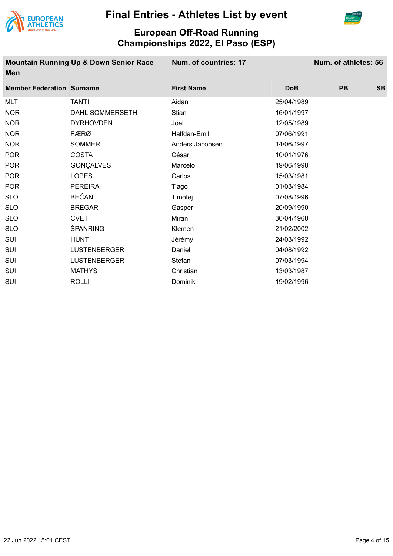



#### **European Off-Road Running Championships 2022, El Paso (ESP)**

**Mountain Running Up & Down Senior Race Men**

**Num. of countries: 17 Num. of athletes: 56**

| <b>Member Federation Surname</b> |                     | <b>First Name</b> | <b>DoB</b> | <b>PB</b> | <b>SB</b> |
|----------------------------------|---------------------|-------------------|------------|-----------|-----------|
| MLT                              | <b>TANTI</b>        | Aidan             | 25/04/1989 |           |           |
| <b>NOR</b>                       | DAHL SOMMERSETH     | Stian             | 16/01/1997 |           |           |
| <b>NOR</b>                       | <b>DYRHOVDEN</b>    | Joel              | 12/05/1989 |           |           |
| <b>NOR</b>                       | <b>FÆRØ</b>         | Halfdan-Emil      | 07/06/1991 |           |           |
| <b>NOR</b>                       | <b>SOMMER</b>       | Anders Jacobsen   | 14/06/1997 |           |           |
| <b>POR</b>                       | <b>COSTA</b>        | César             | 10/01/1976 |           |           |
| <b>POR</b>                       | GONÇALVES           | Marcelo           | 19/06/1998 |           |           |
| <b>POR</b>                       | <b>LOPES</b>        | Carlos            | 15/03/1981 |           |           |
| <b>POR</b>                       | <b>PEREIRA</b>      | Tiago             | 01/03/1984 |           |           |
| <b>SLO</b>                       | <b>BEČAN</b>        | Timotej           | 07/08/1996 |           |           |
| <b>SLO</b>                       | <b>BREGAR</b>       | Gasper            | 20/09/1990 |           |           |
| <b>SLO</b>                       | <b>CVET</b>         | Miran             | 30/04/1968 |           |           |
| <b>SLO</b>                       | ŠPANRING            | Klemen            | 21/02/2002 |           |           |
| <b>SUI</b>                       | <b>HUNT</b>         | Jérémy            | 24/03/1992 |           |           |
| SUI                              | <b>LUSTENBERGER</b> | Daniel            | 04/08/1992 |           |           |
| <b>SUI</b>                       | <b>LUSTENBERGER</b> | Stefan            | 07/03/1994 |           |           |
| <b>SUI</b>                       | <b>MATHYS</b>       | Christian         | 13/03/1987 |           |           |
| SUI                              | <b>ROLLI</b>        | Dominik           | 19/02/1996 |           |           |
|                                  |                     |                   |            |           |           |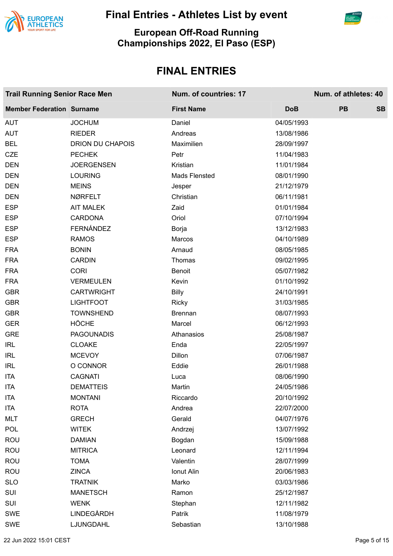



#### **European Off-Road Running Championships 2022, El Paso (ESP)**

| <b>Trail Running Senior Race Men</b> |                         | Num. of countries: 17 | Num. of athletes: 40 |           |           |
|--------------------------------------|-------------------------|-----------------------|----------------------|-----------|-----------|
| <b>Member Federation Surname</b>     |                         | <b>First Name</b>     | <b>DoB</b>           | <b>PB</b> | <b>SB</b> |
| <b>AUT</b>                           | <b>JOCHUM</b>           | Daniel                | 04/05/1993           |           |           |
| <b>AUT</b>                           | <b>RIEDER</b>           | Andreas               | 13/08/1986           |           |           |
| <b>BEL</b>                           | <b>DRION DU CHAPOIS</b> | Maximilien            | 28/09/1997           |           |           |
| <b>CZE</b>                           | <b>PECHEK</b>           | Petr                  | 11/04/1983           |           |           |
| <b>DEN</b>                           | <b>JOERGENSEN</b>       | Kristian              | 11/01/1984           |           |           |
| <b>DEN</b>                           | <b>LOURING</b>          | Mads Flensted         | 08/01/1990           |           |           |
| <b>DEN</b>                           | <b>MEINS</b>            | Jesper                | 21/12/1979           |           |           |
| <b>DEN</b>                           | NØRFELT                 | Christian             | 06/11/1981           |           |           |
| <b>ESP</b>                           | <b>AIT MALEK</b>        | Zaid                  | 01/01/1984           |           |           |
| <b>ESP</b>                           | <b>CARDONA</b>          | Oriol                 | 07/10/1994           |           |           |
| <b>ESP</b>                           | FERNÁNDEZ               | Borja                 | 13/12/1983           |           |           |
| <b>ESP</b>                           | <b>RAMOS</b>            | Marcos                | 04/10/1989           |           |           |
| <b>FRA</b>                           | <b>BONIN</b>            | Arnaud                | 08/05/1985           |           |           |
| <b>FRA</b>                           | <b>CARDIN</b>           | Thomas                | 09/02/1995           |           |           |
| <b>FRA</b>                           | <b>CORI</b>             | <b>Benoit</b>         | 05/07/1982           |           |           |
| <b>FRA</b>                           | <b>VERMEULEN</b>        | Kevin                 | 01/10/1992           |           |           |
| <b>GBR</b>                           | <b>CARTWRIGHT</b>       | <b>Billy</b>          | 24/10/1991           |           |           |
| <b>GBR</b>                           | <b>LIGHTFOOT</b>        | <b>Ricky</b>          | 31/03/1985           |           |           |
| <b>GBR</b>                           | <b>TOWNSHEND</b>        | <b>Brennan</b>        | 08/07/1993           |           |           |
| <b>GER</b>                           | <b>HÖCHE</b>            | Marcel                | 06/12/1993           |           |           |
| <b>GRE</b>                           | <b>PAGOUNADIS</b>       | Athanasios            | 25/08/1987           |           |           |
| <b>IRL</b>                           | <b>CLOAKE</b>           | Enda                  | 22/05/1997           |           |           |
| <b>IRL</b>                           | <b>MCEVOY</b>           | <b>Dillon</b>         | 07/06/1987           |           |           |
| <b>IRL</b>                           | O CONNOR                | Eddie                 | 26/01/1988           |           |           |
| <b>ITA</b>                           | <b>CAGNATI</b>          | Luca                  | 08/06/1990           |           |           |
| <b>ITA</b>                           | <b>DEMATTEIS</b>        | Martin                | 24/05/1986           |           |           |
| <b>ITA</b>                           | <b>MONTANI</b>          | Riccardo              | 20/10/1992           |           |           |
| <b>ITA</b>                           | <b>ROTA</b>             | Andrea                | 22/07/2000           |           |           |
| <b>MLT</b>                           | <b>GRECH</b>            | Gerald                | 04/07/1976           |           |           |
| <b>POL</b>                           | <b>WITEK</b>            | Andrzej               | 13/07/1992           |           |           |
| <b>ROU</b>                           | <b>DAMIAN</b>           | Bogdan                | 15/09/1988           |           |           |
| <b>ROU</b>                           | <b>MITRICA</b>          | Leonard               | 12/11/1994           |           |           |
| <b>ROU</b>                           | <b>TOMA</b>             | Valentin              | 28/07/1999           |           |           |
| <b>ROU</b>                           | <b>ZINCA</b>            | Ionut Alin            | 20/06/1983           |           |           |
| <b>SLO</b>                           | <b>TRATNIK</b>          | Marko                 | 03/03/1986           |           |           |
| SUI                                  | <b>MANETSCH</b>         | Ramon                 | 25/12/1987           |           |           |
| SUI                                  | <b>WENK</b>             | Stephan               | 12/11/1982           |           |           |
| <b>SWE</b>                           | LINDEGÅRDH              | Patrik                | 11/08/1979           |           |           |
| SWE                                  | LJUNGDAHL               | Sebastian             | 13/10/1988           |           |           |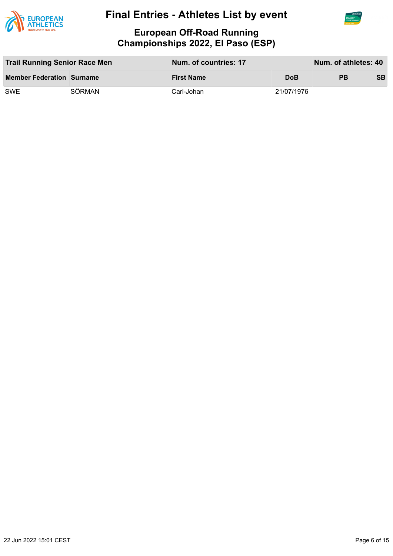



| <b>Trail Running Senior Race Men</b> |        | Num. of countries: 17 |            | Num. of athletes: 40 |           |
|--------------------------------------|--------|-----------------------|------------|----------------------|-----------|
| <b>Member Federation Surname</b>     |        | <b>First Name</b>     | <b>DoB</b> | <b>PB</b>            | <b>SB</b> |
| SWE.                                 | SÖRMAN | Carl-Johan            | 21/07/1976 |                      |           |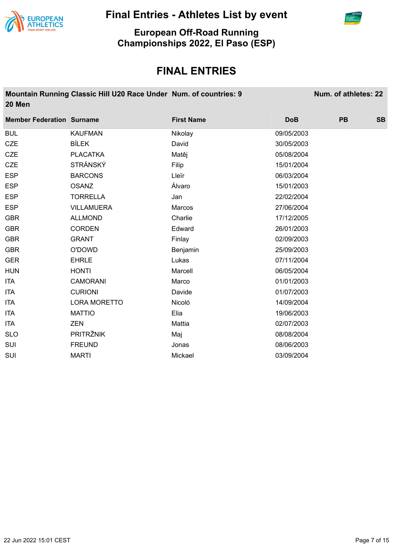



**European Off-Road Running Championships 2022, El Paso (ESP)**

| 20 Men                           | Mountain Running Classic Hill U20 Race Under Num. of countries: 9 |                   |            | Num. of athletes: 22 |           |
|----------------------------------|-------------------------------------------------------------------|-------------------|------------|----------------------|-----------|
| <b>Member Federation Surname</b> |                                                                   | <b>First Name</b> | <b>DoB</b> | <b>PB</b>            | <b>SB</b> |
| <b>BUL</b>                       | <b>KAUFMAN</b>                                                    | Nikolay           | 09/05/2003 |                      |           |
| <b>CZE</b>                       | <b>BÍLEK</b>                                                      | David             | 30/05/2003 |                      |           |
| <b>CZE</b>                       | <b>PLACATKA</b>                                                   | Matěj             | 05/08/2004 |                      |           |
| <b>CZE</b>                       | <b>STRÁNSKÝ</b>                                                   | Filip             | 15/01/2004 |                      |           |
| <b>ESP</b>                       | <b>BARCONS</b>                                                    | Lleïr             | 06/03/2004 |                      |           |
| <b>ESP</b>                       | <b>OSANZ</b>                                                      | Álvaro            | 15/01/2003 |                      |           |
| <b>ESP</b>                       | <b>TORRELLA</b>                                                   | Jan               | 22/02/2004 |                      |           |
| <b>ESP</b>                       | <b>VILLAMUERA</b>                                                 | Marcos            | 27/06/2004 |                      |           |
| <b>GBR</b>                       | <b>ALLMOND</b>                                                    | Charlie           | 17/12/2005 |                      |           |
| <b>GBR</b>                       | <b>CORDEN</b>                                                     | Edward            | 26/01/2003 |                      |           |
| <b>GBR</b>                       | <b>GRANT</b>                                                      | Finlay            | 02/09/2003 |                      |           |
| <b>GBR</b>                       | O'DOWD                                                            | Benjamin          | 25/09/2003 |                      |           |
| <b>GER</b>                       | <b>EHRLE</b>                                                      | Lukas             | 07/11/2004 |                      |           |
| <b>HUN</b>                       | <b>HONTI</b>                                                      | Marcell           | 06/05/2004 |                      |           |
| <b>ITA</b>                       | <b>CAMORANI</b>                                                   | Marco             | 01/01/2003 |                      |           |
| <b>ITA</b>                       | <b>CURIONI</b>                                                    | Davide            | 01/07/2003 |                      |           |
| <b>ITA</b>                       | <b>LORA MORETTO</b>                                               | Nicoló            | 14/09/2004 |                      |           |
| <b>ITA</b>                       | <b>MATTIO</b>                                                     | Elia              | 19/06/2003 |                      |           |
| <b>ITA</b>                       | <b>ZEN</b>                                                        | Mattia            | 02/07/2003 |                      |           |
| <b>SLO</b>                       | PRITRŽNIK                                                         | Maj               | 08/08/2004 |                      |           |
| SUI                              | <b>FREUND</b>                                                     | Jonas             | 08/06/2003 |                      |           |
| SUI                              | <b>MARTI</b>                                                      | Mickael           | 03/09/2004 |                      |           |
|                                  |                                                                   |                   |            |                      |           |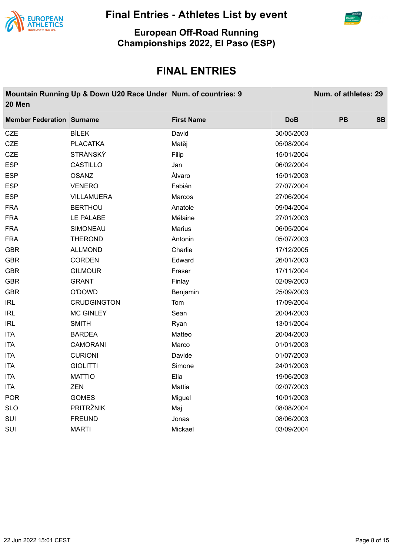



**European Off-Road Running Championships 2022, El Paso (ESP)**

| 20 Men                           | Mountain Running Up & Down U20 Race Under Num. of countries: 9 |                   |            | Num. of athletes: 29 |           |
|----------------------------------|----------------------------------------------------------------|-------------------|------------|----------------------|-----------|
| <b>Member Federation Surname</b> |                                                                | <b>First Name</b> | <b>DoB</b> | PB                   | <b>SB</b> |
| CZE                              | <b>BÍLEK</b>                                                   | David             | 30/05/2003 |                      |           |
| <b>CZE</b>                       | <b>PLACATKA</b>                                                | Matěj             | 05/08/2004 |                      |           |
| <b>CZE</b>                       | <b>STRÁNSKÝ</b>                                                | Filip             | 15/01/2004 |                      |           |
| <b>ESP</b>                       | CASTILLO                                                       | Jan               | 06/02/2004 |                      |           |
| <b>ESP</b>                       | <b>OSANZ</b>                                                   | Álvaro            | 15/01/2003 |                      |           |
| <b>ESP</b>                       | <b>VENERO</b>                                                  | Fabián            | 27/07/2004 |                      |           |
| <b>ESP</b>                       | <b>VILLAMUERA</b>                                              | Marcos            | 27/06/2004 |                      |           |
| <b>FRA</b>                       | <b>BERTHOU</b>                                                 | Anatole           | 09/04/2004 |                      |           |
| <b>FRA</b>                       | LE PALABE                                                      | Mélaine           | 27/01/2003 |                      |           |
| <b>FRA</b>                       | SIMONEAU                                                       | <b>Marius</b>     | 06/05/2004 |                      |           |
| <b>FRA</b>                       | <b>THEROND</b>                                                 | Antonin           | 05/07/2003 |                      |           |
| <b>GBR</b>                       | <b>ALLMOND</b>                                                 | Charlie           | 17/12/2005 |                      |           |
| <b>GBR</b>                       | <b>CORDEN</b>                                                  | Edward            | 26/01/2003 |                      |           |
| <b>GBR</b>                       | <b>GILMOUR</b>                                                 | Fraser            | 17/11/2004 |                      |           |
| <b>GBR</b>                       | <b>GRANT</b>                                                   | Finlay            | 02/09/2003 |                      |           |
| <b>GBR</b>                       | O'DOWD                                                         | Benjamin          | 25/09/2003 |                      |           |
| <b>IRL</b>                       | <b>CRUDGINGTON</b>                                             | Tom               | 17/09/2004 |                      |           |
| <b>IRL</b>                       | <b>MC GINLEY</b>                                               | Sean              | 20/04/2003 |                      |           |
| <b>IRL</b>                       | <b>SMITH</b>                                                   | Ryan              | 13/01/2004 |                      |           |
| <b>ITA</b>                       | <b>BARDEA</b>                                                  | Matteo            | 20/04/2003 |                      |           |
| <b>ITA</b>                       | <b>CAMORANI</b>                                                | Marco             | 01/01/2003 |                      |           |
| <b>ITA</b>                       | <b>CURIONI</b>                                                 | Davide            | 01/07/2003 |                      |           |
| <b>ITA</b>                       | <b>GIOLITTI</b>                                                | Simone            | 24/01/2003 |                      |           |
| <b>ITA</b>                       | <b>MATTIO</b>                                                  | Elia              | 19/06/2003 |                      |           |
| <b>ITA</b>                       | <b>ZEN</b>                                                     | Mattia            | 02/07/2003 |                      |           |
| <b>POR</b>                       | <b>GOMES</b>                                                   | Miguel            | 10/01/2003 |                      |           |
| <b>SLO</b>                       | <b>PRITRŽNIK</b>                                               | Maj               | 08/08/2004 |                      |           |
| SUI                              | <b>FREUND</b>                                                  | Jonas             | 08/06/2003 |                      |           |
| SUI                              | <b>MARTI</b>                                                   | Mickael           | 03/09/2004 |                      |           |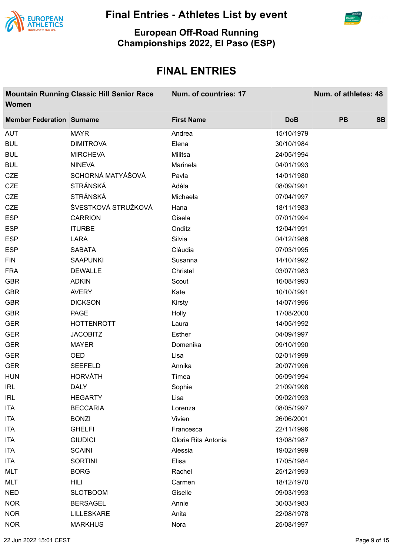



**European Off-Road Running Championships 2022, El Paso (ESP)**

| Women                            | <b>Mountain Running Classic Hill Senior Race</b> | Num. of countries: 17 |            | Num. of athletes: 48 |           |
|----------------------------------|--------------------------------------------------|-----------------------|------------|----------------------|-----------|
| <b>Member Federation Surname</b> |                                                  | <b>First Name</b>     | <b>DoB</b> | <b>PB</b>            | <b>SB</b> |
| <b>AUT</b>                       | <b>MAYR</b>                                      | Andrea                | 15/10/1979 |                      |           |
| <b>BUL</b>                       | <b>DIMITROVA</b>                                 | Elena                 | 30/10/1984 |                      |           |
| <b>BUL</b>                       | <b>MIRCHEVA</b>                                  | Militsa               | 24/05/1994 |                      |           |
| <b>BUL</b>                       | <b>NINEVA</b>                                    | Marinela              | 04/01/1993 |                      |           |
| <b>CZE</b>                       | SCHORNÁ MATYÁŠOVÁ                                | Pavla                 | 14/01/1980 |                      |           |
| <b>CZE</b>                       | <b>STRÁNSKÁ</b>                                  | Adéla                 | 08/09/1991 |                      |           |
| <b>CZE</b>                       | <b>STRÁNSKÁ</b>                                  | Michaela              | 07/04/1997 |                      |           |
| <b>CZE</b>                       | ŠVESTKOVÁ STRUŽKOVÁ                              | Hana                  | 18/11/1983 |                      |           |
| <b>ESP</b>                       | <b>CARRION</b>                                   | Gisela                | 07/01/1994 |                      |           |
| <b>ESP</b>                       | <b>ITURBE</b>                                    | Onditz                | 12/04/1991 |                      |           |
| <b>ESP</b>                       | <b>LARA</b>                                      | Silvia                | 04/12/1986 |                      |           |
| <b>ESP</b>                       | <b>SABATA</b>                                    | Clàudia               | 07/03/1995 |                      |           |
| <b>FIN</b>                       | <b>SAAPUNKI</b>                                  | Susanna               | 14/10/1992 |                      |           |
| <b>FRA</b>                       | <b>DEWALLE</b>                                   | Christel              | 03/07/1983 |                      |           |
| <b>GBR</b>                       | <b>ADKIN</b>                                     | Scout                 | 16/08/1993 |                      |           |
| <b>GBR</b>                       | <b>AVERY</b>                                     | Kate                  | 10/10/1991 |                      |           |
| <b>GBR</b>                       | <b>DICKSON</b>                                   | Kirsty                | 14/07/1996 |                      |           |
| <b>GBR</b>                       | PAGE                                             | Holly                 | 17/08/2000 |                      |           |
| <b>GER</b>                       | <b>HOTTENROTT</b>                                | Laura                 | 14/05/1992 |                      |           |
| <b>GER</b>                       | <b>JACOBITZ</b>                                  | Esther                | 04/09/1997 |                      |           |
| <b>GER</b>                       | <b>MAYER</b>                                     | Domenika              | 09/10/1990 |                      |           |
| <b>GER</b>                       | OED                                              | Lisa                  | 02/01/1999 |                      |           |
| <b>GER</b>                       | <b>SEEFELD</b>                                   | Annika                | 20/07/1996 |                      |           |
| <b>HUN</b>                       | <b>HORVÁTH</b>                                   | Tímea                 | 05/09/1994 |                      |           |
| <b>IRL</b>                       | <b>DALY</b>                                      | Sophie                | 21/09/1998 |                      |           |
| <b>IRL</b>                       | <b>HEGARTY</b>                                   | Lisa                  | 09/02/1993 |                      |           |
| <b>ITA</b>                       | <b>BECCARIA</b>                                  | Lorenza               | 08/05/1997 |                      |           |
| <b>ITA</b>                       | <b>BONZI</b>                                     | Vivien                | 26/06/2001 |                      |           |
| <b>ITA</b>                       | <b>GHELFI</b>                                    | Francesca             | 22/11/1996 |                      |           |
| <b>ITA</b>                       | <b>GIUDICI</b>                                   | Gloria Rita Antonia   | 13/08/1987 |                      |           |
| <b>ITA</b>                       | <b>SCAINI</b>                                    | Alessia               | 19/02/1999 |                      |           |
| ITA                              | <b>SORTINI</b>                                   | Elisa                 | 17/05/1984 |                      |           |
| <b>MLT</b>                       | <b>BORG</b>                                      | Rachel                | 25/12/1993 |                      |           |
| <b>MLT</b>                       | <b>HILI</b>                                      | Carmen                | 18/12/1970 |                      |           |
| <b>NED</b>                       | <b>SLOTBOOM</b>                                  | Giselle               | 09/03/1993 |                      |           |
| <b>NOR</b>                       | <b>BERSAGEL</b>                                  | Annie                 | 30/03/1983 |                      |           |
| <b>NOR</b>                       | LILLESKARE                                       | Anita                 | 22/08/1978 |                      |           |
| <b>NOR</b>                       | <b>MARKHUS</b>                                   | Nora                  | 25/08/1997 |                      |           |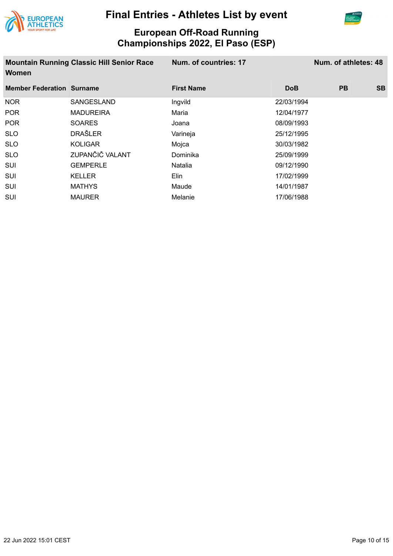



| <b>Mountain Running Classic Hill Senior Race</b><br><b>Women</b> |                  | Num. of countries: 17 | Num. of athletes: 48 |           |           |
|------------------------------------------------------------------|------------------|-----------------------|----------------------|-----------|-----------|
| <b>Member Federation Surname</b>                                 |                  | <b>First Name</b>     | <b>DoB</b>           | <b>PB</b> | <b>SB</b> |
| <b>NOR</b>                                                       | SANGESLAND       | Ingvild               | 22/03/1994           |           |           |
| <b>POR</b>                                                       | <b>MADUREIRA</b> | Maria                 | 12/04/1977           |           |           |
| <b>POR</b>                                                       | <b>SOARES</b>    | Joana                 | 08/09/1993           |           |           |
| <b>SLO</b>                                                       | <b>DRAŠLER</b>   | Varineja              | 25/12/1995           |           |           |
| <b>SLO</b>                                                       | <b>KOLIGAR</b>   | Mojca                 | 30/03/1982           |           |           |
| <b>SLO</b>                                                       | ZUPANČIČ VALANT  | Dominika              | 25/09/1999           |           |           |
| <b>SUI</b>                                                       | <b>GEMPERLE</b>  | Natalia               | 09/12/1990           |           |           |
| <b>SUI</b>                                                       | KELLER           | Elin                  | 17/02/1999           |           |           |
| <b>SUI</b>                                                       | <b>MATHYS</b>    | Maude                 | 14/01/1987           |           |           |
| <b>SUI</b>                                                       | MAURER           | Melanie               | 17/06/1988           |           |           |
|                                                                  |                  |                       |                      |           |           |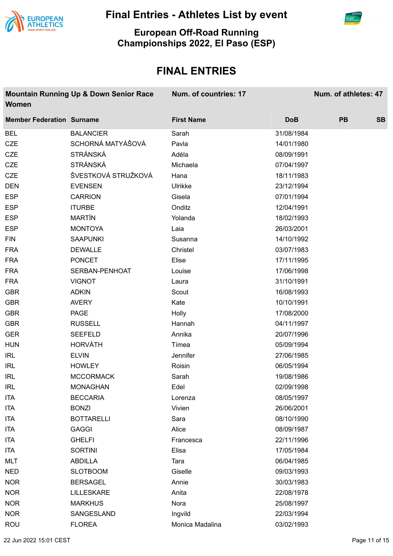



**European Off-Road Running Championships 2022, El Paso (ESP)**

| <b>Women</b>                     | <b>Mountain Running Up &amp; Down Senior Race</b> | Num. of countries: 17 |            | Num. of athletes: 47 |           |
|----------------------------------|---------------------------------------------------|-----------------------|------------|----------------------|-----------|
| <b>Member Federation Surname</b> |                                                   | <b>First Name</b>     | <b>DoB</b> | <b>PB</b>            | <b>SB</b> |
| <b>BEL</b>                       | <b>BALANCIER</b>                                  | Sarah                 | 31/08/1984 |                      |           |
| <b>CZE</b>                       | SCHORNÁ MATYÁŠOVÁ                                 | Pavla                 | 14/01/1980 |                      |           |
| <b>CZE</b>                       | <b>STRÁNSKÁ</b>                                   | Adéla                 | 08/09/1991 |                      |           |
| <b>CZE</b>                       | <b>STRÁNSKÁ</b>                                   | Michaela              | 07/04/1997 |                      |           |
| <b>CZE</b>                       | ŠVESTKOVÁ STRUŽKOVÁ                               | Hana                  | 18/11/1983 |                      |           |
| <b>DEN</b>                       | <b>EVENSEN</b>                                    | Ulrikke               | 23/12/1994 |                      |           |
| <b>ESP</b>                       | <b>CARRION</b>                                    | Gisela                | 07/01/1994 |                      |           |
| <b>ESP</b>                       | <b>ITURBE</b>                                     | Onditz                | 12/04/1991 |                      |           |
| <b>ESP</b>                       | <b>MARTÍN</b>                                     | Yolanda               | 18/02/1993 |                      |           |
| <b>ESP</b>                       | <b>MONTOYA</b>                                    | Laia                  | 26/03/2001 |                      |           |
| <b>FIN</b>                       | <b>SAAPUNKI</b>                                   | Susanna               | 14/10/1992 |                      |           |
| <b>FRA</b>                       | <b>DEWALLE</b>                                    | Christel              | 03/07/1983 |                      |           |
| <b>FRA</b>                       | <b>PONCET</b>                                     | Elise                 | 17/11/1995 |                      |           |
| <b>FRA</b>                       | SERBAN-PENHOAT                                    | Louise                | 17/06/1998 |                      |           |
| <b>FRA</b>                       | <b>VIGNOT</b>                                     | Laura                 | 31/10/1991 |                      |           |
| <b>GBR</b>                       | <b>ADKIN</b>                                      | Scout                 | 16/08/1993 |                      |           |
| <b>GBR</b>                       | <b>AVERY</b>                                      | Kate                  | 10/10/1991 |                      |           |
| <b>GBR</b>                       | PAGE                                              | Holly                 | 17/08/2000 |                      |           |
| <b>GBR</b>                       | <b>RUSSELL</b>                                    | Hannah                | 04/11/1997 |                      |           |
| <b>GER</b>                       | <b>SEEFELD</b>                                    | Annika                | 20/07/1996 |                      |           |
| <b>HUN</b>                       | <b>HORVÁTH</b>                                    | Tímea                 | 05/09/1994 |                      |           |
| <b>IRL</b>                       | <b>ELVIN</b>                                      | Jennifer              | 27/06/1985 |                      |           |
| <b>IRL</b>                       | <b>HOWLEY</b>                                     | Roisin                | 06/05/1994 |                      |           |
| <b>IRL</b>                       | <b>MCCORMACK</b>                                  | Sarah                 | 19/08/1986 |                      |           |
| <b>IRL</b>                       | <b>MONAGHAN</b>                                   | Edel                  | 02/09/1998 |                      |           |
| <b>ITA</b>                       | <b>BECCARIA</b>                                   | Lorenza               | 08/05/1997 |                      |           |
| <b>ITA</b>                       | <b>BONZI</b>                                      | Vivien                | 26/06/2001 |                      |           |
| ITA                              | <b>BOTTARELLI</b>                                 | Sara                  | 08/10/1990 |                      |           |
| <b>ITA</b>                       | <b>GAGGI</b>                                      | Alice                 | 08/09/1987 |                      |           |
| ITA                              | <b>GHELFI</b>                                     | Francesca             | 22/11/1996 |                      |           |
| ITA                              | <b>SORTINI</b>                                    | Elisa                 | 17/05/1984 |                      |           |
| <b>MLT</b>                       | <b>ABDILLA</b>                                    | Tara                  | 06/04/1985 |                      |           |
| <b>NED</b>                       | <b>SLOTBOOM</b>                                   | Giselle               | 09/03/1993 |                      |           |
| <b>NOR</b>                       | <b>BERSAGEL</b>                                   | Annie                 | 30/03/1983 |                      |           |
| <b>NOR</b>                       | <b>LILLESKARE</b>                                 | Anita                 | 22/08/1978 |                      |           |
| <b>NOR</b>                       | <b>MARKHUS</b>                                    | Nora                  | 25/08/1997 |                      |           |
| <b>NOR</b>                       | SANGESLAND                                        | Ingvild               | 22/03/1994 |                      |           |
| <b>ROU</b>                       | <b>FLOREA</b>                                     | Monica Madalina       | 03/02/1993 |                      |           |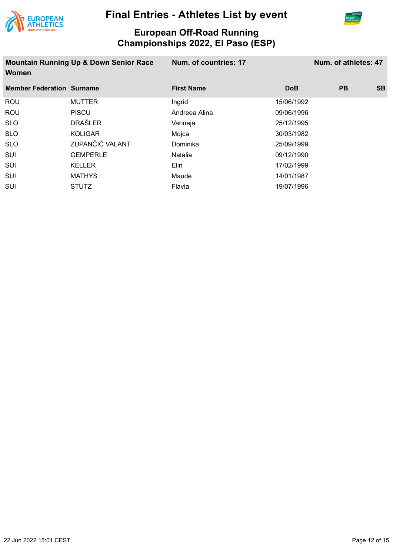



| <b>Mountain Running Up &amp; Down Senior Race</b><br>Women |                 | Num. of countries: 17 | Num. of athletes: 47 |           |           |
|------------------------------------------------------------|-----------------|-----------------------|----------------------|-----------|-----------|
| <b>Member Federation Surname</b>                           |                 | <b>First Name</b>     | <b>DoB</b>           | <b>PB</b> | <b>SB</b> |
| ROU                                                        | <b>MUTTER</b>   | Ingrid                | 15/06/1992           |           |           |
| ROU                                                        | <b>PISCU</b>    | Andreea Alina         | 09/06/1996           |           |           |
| <b>SLO</b>                                                 | <b>DRAŠLER</b>  | Varineja              | 25/12/1995           |           |           |
| <b>SLO</b>                                                 | <b>KOLIGAR</b>  | Mojca                 | 30/03/1982           |           |           |
| <b>SLO</b>                                                 | ZUPANČIČ VALANT | Dominika              | 25/09/1999           |           |           |
| SUI                                                        | <b>GEMPERLE</b> | Natalia               | 09/12/1990           |           |           |
| SUI                                                        | <b>KELLER</b>   | Elin                  | 17/02/1999           |           |           |
| SUI                                                        | <b>MATHYS</b>   | Maude                 | 14/01/1987           |           |           |
| <b>SUI</b>                                                 | <b>STUTZ</b>    | Flavia                | 19/07/1996           |           |           |
|                                                            |                 |                       |                      |           |           |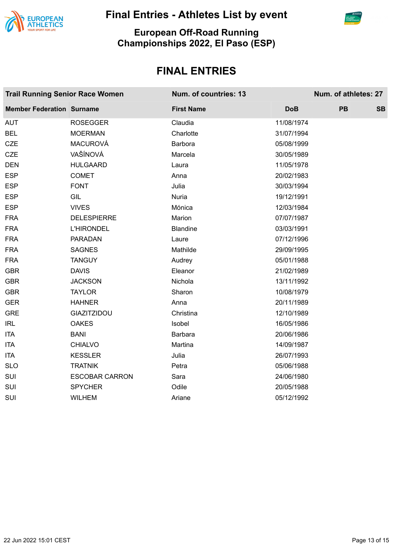



#### **European Off-Road Running Championships 2022, El Paso (ESP)**

| <b>Trail Running Senior Race Women</b> |                       | Num. of countries: 13 |            | Num. of athletes: 27 |           |
|----------------------------------------|-----------------------|-----------------------|------------|----------------------|-----------|
| <b>Member Federation Surname</b>       |                       | <b>First Name</b>     | <b>DoB</b> | PB                   | <b>SB</b> |
| <b>AUT</b>                             | <b>ROSEGGER</b>       | Claudia               | 11/08/1974 |                      |           |
| <b>BEL</b>                             | <b>MOERMAN</b>        | Charlotte             | 31/07/1994 |                      |           |
| <b>CZE</b>                             | <b>MACUROVÁ</b>       | Barbora               | 05/08/1999 |                      |           |
| <b>CZE</b>                             | VAŠÍNOVÁ              | Marcela               | 30/05/1989 |                      |           |
| <b>DEN</b>                             | <b>HULGAARD</b>       | Laura                 | 11/05/1978 |                      |           |
| <b>ESP</b>                             | <b>COMET</b>          | Anna                  | 20/02/1983 |                      |           |
| <b>ESP</b>                             | <b>FONT</b>           | Julia                 | 30/03/1994 |                      |           |
| <b>ESP</b>                             | GIL                   | Nuria                 | 19/12/1991 |                      |           |
| <b>ESP</b>                             | <b>VIVES</b>          | Mónica                | 12/03/1984 |                      |           |
| <b>FRA</b>                             | <b>DELESPIERRE</b>    | Marion                | 07/07/1987 |                      |           |
| <b>FRA</b>                             | <b>L'HIRONDEL</b>     | <b>Blandine</b>       | 03/03/1991 |                      |           |
| <b>FRA</b>                             | <b>PARADAN</b>        | Laure                 | 07/12/1996 |                      |           |
| <b>FRA</b>                             | <b>SAGNES</b>         | Mathilde              | 29/09/1995 |                      |           |
| <b>FRA</b>                             | <b>TANGUY</b>         | Audrey                | 05/01/1988 |                      |           |
| <b>GBR</b>                             | <b>DAVIS</b>          | Eleanor               | 21/02/1989 |                      |           |
| <b>GBR</b>                             | <b>JACKSON</b>        | Nichola               | 13/11/1992 |                      |           |
| <b>GBR</b>                             | <b>TAYLOR</b>         | Sharon                | 10/08/1979 |                      |           |
| <b>GER</b>                             | <b>HAHNER</b>         | Anna                  | 20/11/1989 |                      |           |
| <b>GRE</b>                             | <b>GIAZITZIDOU</b>    | Christina             | 12/10/1989 |                      |           |
| IRL                                    | <b>OAKES</b>          | Isobel                | 16/05/1986 |                      |           |
| <b>ITA</b>                             | <b>BANI</b>           | <b>Barbara</b>        | 20/06/1986 |                      |           |
| <b>ITA</b>                             | <b>CHIALVO</b>        | Martina               | 14/09/1987 |                      |           |
| <b>ITA</b>                             | <b>KESSLER</b>        | Julia                 | 26/07/1993 |                      |           |
| <b>SLO</b>                             | <b>TRATNIK</b>        | Petra                 | 05/06/1988 |                      |           |
| SUI                                    | <b>ESCOBAR CARRON</b> | Sara                  | 24/06/1980 |                      |           |
| SUI                                    | <b>SPYCHER</b>        | Odile                 | 20/05/1988 |                      |           |
| SUI                                    | <b>WILHEM</b>         | Ariane                | 05/12/1992 |                      |           |
|                                        |                       |                       |            |                      |           |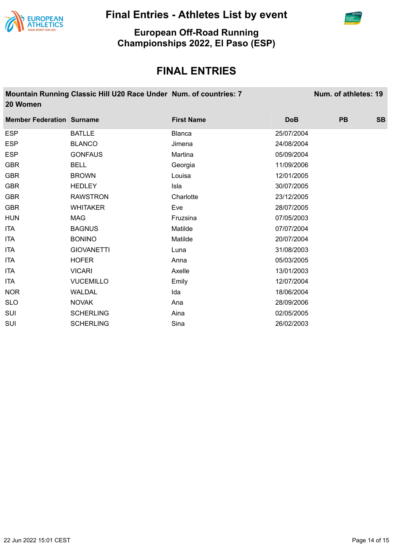



**European Off-Road Running Championships 2022, El Paso (ESP)**

| 20 Women                         | Mountain Running Classic Hill U20 Race Under Num. of countries: 7 |                   |            | Num. of athletes: 19 |           |
|----------------------------------|-------------------------------------------------------------------|-------------------|------------|----------------------|-----------|
| <b>Member Federation Surname</b> |                                                                   | <b>First Name</b> | <b>DoB</b> | <b>PB</b>            | <b>SB</b> |
| <b>ESP</b>                       | <b>BATLLE</b>                                                     | <b>Blanca</b>     | 25/07/2004 |                      |           |
| <b>ESP</b>                       | <b>BLANCO</b>                                                     | Jimena            | 24/08/2004 |                      |           |
| <b>ESP</b>                       | <b>GONFAUS</b>                                                    | Martina           | 05/09/2004 |                      |           |
| <b>GBR</b>                       | <b>BELL</b>                                                       | Georgia           | 11/09/2006 |                      |           |
| <b>GBR</b>                       | <b>BROWN</b>                                                      | Louisa            | 12/01/2005 |                      |           |
| <b>GBR</b>                       | <b>HEDLEY</b>                                                     | Isla              | 30/07/2005 |                      |           |
| <b>GBR</b>                       | <b>RAWSTRON</b>                                                   | Charlotte         | 23/12/2005 |                      |           |
| <b>GBR</b>                       | <b>WHITAKER</b>                                                   | Eve               | 28/07/2005 |                      |           |
| <b>HUN</b>                       | <b>MAG</b>                                                        | Fruzsina          | 07/05/2003 |                      |           |
| <b>ITA</b>                       | <b>BAGNUS</b>                                                     | Matilde           | 07/07/2004 |                      |           |
| <b>ITA</b>                       | <b>BONINO</b>                                                     | Matilde           | 20/07/2004 |                      |           |
| <b>ITA</b>                       | <b>GIOVANETTI</b>                                                 | Luna              | 31/08/2003 |                      |           |
| <b>ITA</b>                       | <b>HOFER</b>                                                      | Anna              | 05/03/2005 |                      |           |
| <b>ITA</b>                       | <b>VICARI</b>                                                     | Axelle            | 13/01/2003 |                      |           |
| <b>ITA</b>                       | <b>VUCEMILLO</b>                                                  | Emily             | 12/07/2004 |                      |           |
| <b>NOR</b>                       | <b>WALDAL</b>                                                     | Ida               | 18/06/2004 |                      |           |
| <b>SLO</b>                       | <b>NOVAK</b>                                                      | Ana               | 28/09/2006 |                      |           |
| <b>SUI</b>                       | <b>SCHERLING</b>                                                  | Aina              | 02/05/2005 |                      |           |
| SUI                              | <b>SCHERLING</b>                                                  | Sina              | 26/02/2003 |                      |           |